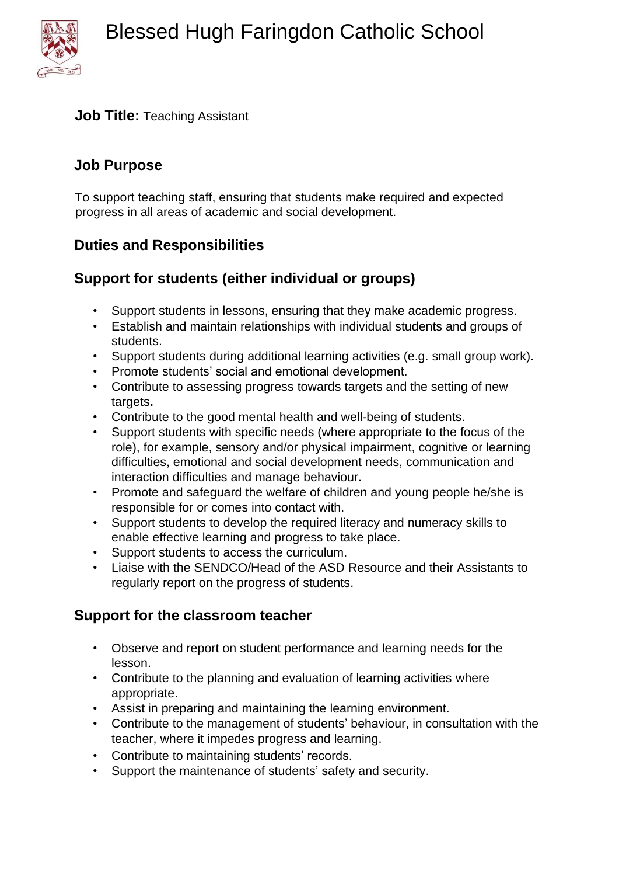

#### **Job Title:** Teaching Assistant

#### **Job Purpose**

To support teaching staff, ensuring that students make required and expected progress in all areas of academic and social development.

## **Duties and Responsibilities**

# **Support for students (either individual or groups)**

- Support students in lessons, ensuring that they make academic progress.
- Establish and maintain relationships with individual students and groups of students.
- Support students during additional learning activities (e.g. small group work).
- Promote students' social and emotional development.
- Contribute to assessing progress towards targets and the setting of new targets**.**
- Contribute to the good mental health and well-being of students.
- Support students with specific needs (where appropriate to the focus of the role), for example, sensory and/or physical impairment, cognitive or learning difficulties, emotional and social development needs, communication and interaction difficulties and manage behaviour.
- Promote and safeguard the welfare of children and young people he/she is responsible for or comes into contact with.
- Support students to develop the required literacy and numeracy skills to enable effective learning and progress to take place.
- Support students to access the curriculum.
- Liaise with the SENDCO/Head of the ASD Resource and their Assistants to regularly report on the progress of students.

## **Support for the classroom teacher**

- Observe and report on student performance and learning needs for the lesson.
- Contribute to the planning and evaluation of learning activities where appropriate.
- Assist in preparing and maintaining the learning environment.
- Contribute to the management of students' behaviour, in consultation with the teacher, where it impedes progress and learning.
- Contribute to maintaining students' records.
- Support the maintenance of students' safety and security.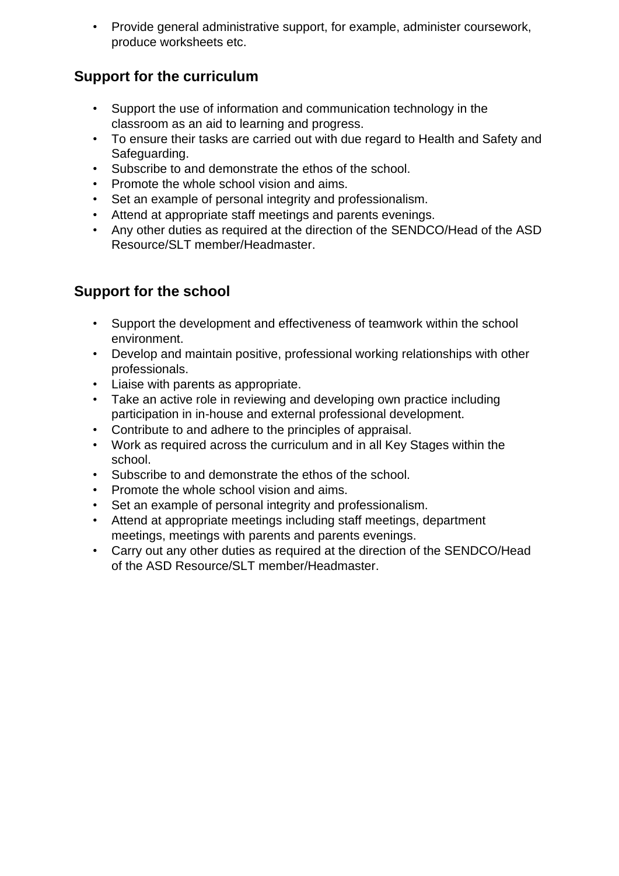• Provide general administrative support, for example, administer coursework, produce worksheets etc.

## **Support for the curriculum**

- Support the use of information and communication technology in the classroom as an aid to learning and progress.
- To ensure their tasks are carried out with due regard to Health and Safety and Safeguarding.
- Subscribe to and demonstrate the ethos of the school.
- Promote the whole school vision and aims.
- Set an example of personal integrity and professionalism.
- Attend at appropriate staff meetings and parents evenings.
- Any other duties as required at the direction of the SENDCO/Head of the ASD Resource/SLT member/Headmaster.

# **Support for the school**

- Support the development and effectiveness of teamwork within the school environment.
- Develop and maintain positive, professional working relationships with other professionals.
- Liaise with parents as appropriate.
- Take an active role in reviewing and developing own practice including participation in in-house and external professional development.
- Contribute to and adhere to the principles of appraisal.
- Work as required across the curriculum and in all Key Stages within the school.
- Subscribe to and demonstrate the ethos of the school.
- Promote the whole school vision and aims.
- Set an example of personal integrity and professionalism.
- Attend at appropriate meetings including staff meetings, department meetings, meetings with parents and parents evenings.
- Carry out any other duties as required at the direction of the SENDCO/Head of the ASD Resource/SLT member/Headmaster.